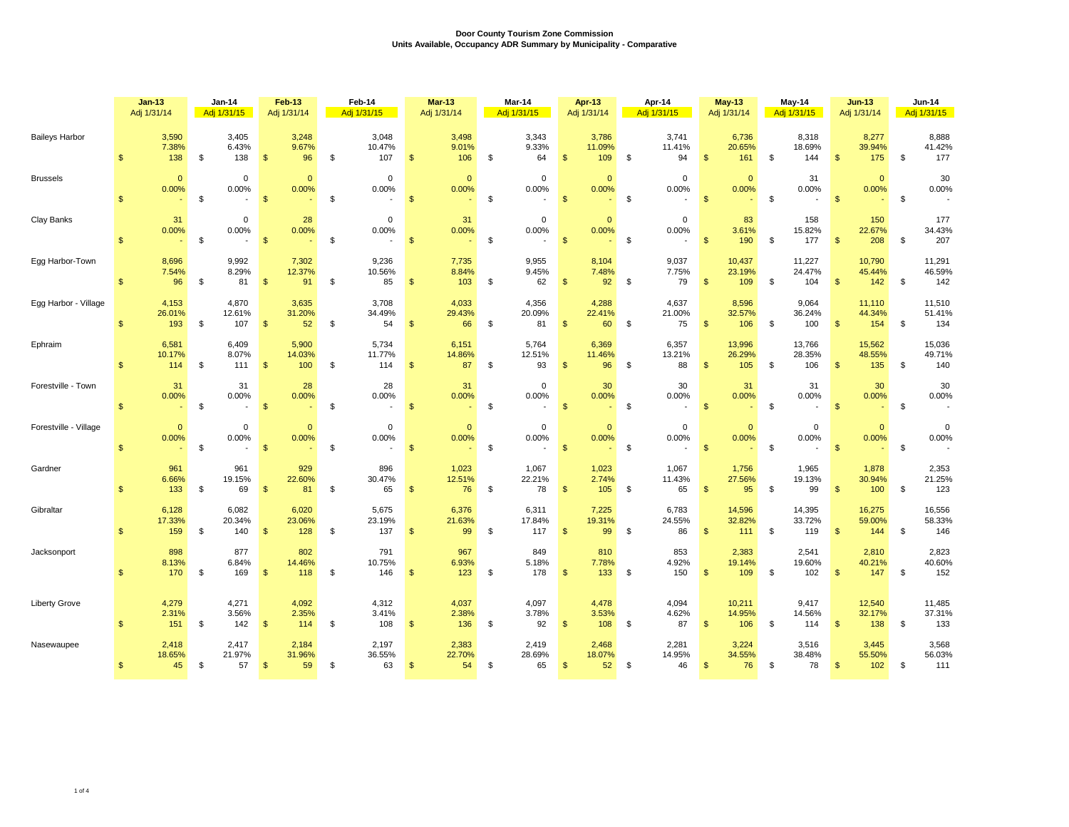|                       |                | $Jan-13$<br>Adj 1/31/14 |               | <b>Jan-14</b><br>Adj 1/31/15 |                | Feb-13<br>Adj 1/31/14  | Feb-14<br>Adj 1/31/15                                  |                | <b>Mar-13</b><br>Adj 1/31/14 | Mar-14<br>Adj 1/31/15 |                                                          |                | Apr-13<br>Adj 1/31/14             | Apr-14<br>Adj 1/31/15                                  |                | <b>May-13</b><br>Adj 1/31/14 | May-14<br>Adj 1/31/15 |                         |                | $Jun-13$<br>Adj 1/31/14 | <b>Jun-14</b><br>Adj 1/31/15 |                         |
|-----------------------|----------------|-------------------------|---------------|------------------------------|----------------|------------------------|--------------------------------------------------------|----------------|------------------------------|-----------------------|----------------------------------------------------------|----------------|-----------------------------------|--------------------------------------------------------|----------------|------------------------------|-----------------------|-------------------------|----------------|-------------------------|------------------------------|-------------------------|
| <b>Baileys Harbor</b> | $\mathfrak{s}$ | 3,590<br>7.38%<br>138   | \$            | 3,405<br>6.43%<br>138        | $\mathfrak{s}$ | 3,248<br>9.67%<br>96   | \$<br>3,048<br>10.47%<br>107                           | $\sqrt[6]{3}$  | 3,498<br>9.01%<br>106        | \$                    | 3,343<br>9.33%<br>64                                     | $\mathfrak{s}$ | 3,786<br>11.09%<br>109            | \$<br>3,741<br>11.41%<br>94                            | $\mathfrak{s}$ | 6,736<br>20.65%<br>161       | \$                    | 8,318<br>18.69%<br>144  | $\mathfrak{s}$ | 8,277<br>39.94%<br>175  | \$                           | 8,888<br>41.42%<br>177  |
| <b>Brussels</b>       | $\mathfrak{s}$ | $\Omega$<br>0.00%       | $\mathfrak s$ | $\mathbf 0$<br>0.00%         | $\mathfrak{s}$ | $\mathbf{0}$<br>0.00%  | \$<br>$\mathbf 0$<br>0.00%                             | $\mathbf{\$}$  | $\mathbf{0}$<br>0.00%        | \$                    | $\mathbf 0$<br>0.00%                                     | $\mathbf{\$}$  | $\Omega$<br>0.00%                 | \$<br>$\Omega$<br>0.00%                                | $\mathfrak{s}$ | $\Omega$<br>0.00%            | \$                    | 31<br>0.00%             | $\mathfrak{s}$ | $\mathbf{0}$<br>0.00%   | \$                           | 30<br>0.00%             |
| Clay Banks            | $\mathfrak{s}$ | 31<br>0.00%             | \$            | $\mathbf 0$<br>0.00%<br>$-5$ |                | 28<br>0.00%<br>$\sim$  | \$<br>$\mathbf 0$<br>0.00%<br>$\overline{\phantom{a}}$ | $\sqrt{3}$     | 31<br>0.00%                  | \$                    | $\mathsf{O}\xspace$<br>0.00%<br>$\overline{\phantom{a}}$ | \$             | $\mathbf{0}$<br>0.00%<br>$\omega$ | \$<br>$\mathbf 0$<br>0.00%<br>$\overline{a}$           | $\mathbf{s}$   | 83<br>3.61%<br>190           | - \$                  | 158<br>15.82%<br>177    | $\mathfrak{s}$ | 150<br>22.67%<br>208    | \$                           | 177<br>34.43%<br>207    |
| Egg Harbor-Town       | $\mathbb{S}$   | 8,696<br>7.54%<br>96    | \$            | 9,992<br>8.29%<br>81         | $\mathfrak{s}$ | 7,302<br>12.37%<br>91  | \$<br>9,236<br>10.56%<br>85                            | $\mathfrak{s}$ | 7,735<br>8.84%<br>103        | \$                    | 9,955<br>9.45%<br>62                                     | $\mathbf{\$}$  | 8,104<br>7.48%<br>92              | \$<br>9,037<br>7.75%<br>79                             | \$             | 10,437<br>23.19%<br>109      | \$                    | 11,227<br>24.47%<br>104 | $\mathbf{s}$   | 10,790<br>45.44%<br>142 | \$                           | 11,291<br>46.59%<br>142 |
| Egg Harbor - Village  | $\mathbb{S}$   | 4,153<br>26.01%<br>193  | \$            | 4,870<br>12.61%<br>107       | $\mathfrak{s}$ | 3,635<br>31.20%<br>52  | \$<br>3,708<br>34.49%<br>54                            | $\mathbf{s}$   | 4,033<br>29.43%<br>66        | \$                    | 4,356<br>20.09%<br>81                                    | $\mathbb{S}$   | 4,288<br>22.41%<br>60             | \$<br>4,637<br>21.00%<br>75                            | \$             | 8,596<br>32.57%<br>106       | \$                    | 9,064<br>36.24%<br>100  | $\mathfrak{s}$ | 11,110<br>44.34%<br>154 | \$                           | 11,510<br>51.41%<br>134 |
| Ephraim               | $\mathbb{S}$   | 6,581<br>10.17%<br>114  | \$            | 6,409<br>8.07%<br>111        | $\mathfrak{s}$ | 5,900<br>14.03%<br>100 | \$<br>5,734<br>11.77%<br>114                           | $\mathbf{s}$   | 6,151<br>14.86%<br>87        | \$                    | 5,764<br>12.51%<br>93                                    | $\mathbf{\$}$  | 6,369<br>11.46%<br>96             | \$<br>6,357<br>13.21%<br>88                            | $\mathfrak{s}$ | 13,996<br>26.29%<br>105      | \$                    | 13,766<br>28.35%<br>106 | $\mathfrak{s}$ | 15,562<br>48.55%<br>135 | \$                           | 15,036<br>49.71%<br>140 |
| Forestville - Town    | $\mathbb{S}$   | 31<br>0.00%             | \$            | 31<br>0.00%                  | $\mathbb{S}$   | 28<br>0.00%            | \$<br>28<br>0.00%                                      | $\mathbf{s}$   | 31<br>0.00%                  | \$                    | $\mathbf 0$<br>0.00%                                     | $\mathbf{\$}$  | 30<br>0.00%                       | \$<br>30<br>0.00%                                      | $\mathbf{s}$   | 31<br>0.00%                  | \$                    | 31<br>0.00%             | $\mathbf{s}$   | 30<br>0.00%             | \$                           | 30<br>0.00%             |
| Forestville - Village | $\mathfrak{s}$ | $\Omega$<br>0.00%       | \$            | $\mathbf 0$<br>0.00%         | $\mathfrak{s}$ | $\mathbf{0}$<br>0.00%  | \$<br>$\mathbf 0$<br>0.00%<br>$\overline{\phantom{a}}$ | $\mathbf{\$}$  | $\mathbf{0}$<br>0.00%        | \$                    | $\mathbf 0$<br>0.00%<br>$\overline{\phantom{a}}$         | $\sqrt{2}$     | $\Omega$<br>0.00%                 | \$<br>$\mathbf 0$<br>0.00%<br>$\overline{\phantom{a}}$ | $\mathbf{\$}$  | $\Omega$<br>0.00%            | \$                    | $\mathbf 0$<br>0.00%    | $\mathbf{\$}$  | $\mathbf{0}$<br>0.00%   | \$                           | $\mathbf 0$<br>0.00%    |
| Gardner               | $\mathsf{\$}$  | 961<br>6.66%<br>133     | \$            | 961<br>19.15%<br>69          | $\mathfrak{s}$ | 929<br>22.60%<br>81    | \$<br>896<br>30.47%<br>65                              | $\mathfrak{s}$ | 1,023<br>12.51%<br>76        | \$                    | 1,067<br>22.21%<br>78                                    | $\mathbb{S}$   | 1,023<br>2.74%<br>105             | \$<br>1,067<br>11.43%<br>65                            | \$             | 1,756<br>27.56%<br>95        | \$                    | 1,965<br>19.13%<br>99   | $\mathfrak{s}$ | 1,878<br>30.94%<br>100  | \$                           | 2,353<br>21.25%<br>123  |
| Gibraltar             | $\mathfrak{s}$ | 6,128<br>17.33%<br>159  | \$            | 6,082<br>20.34%<br>140       | $\frac{1}{2}$  | 6,020<br>23.06%<br>128 | \$<br>5,675<br>23.19%<br>137                           | $\mathfrak{s}$ | 6,376<br>21.63%<br>99        | \$                    | 6,311<br>17.84%<br>117                                   | $\frac{1}{2}$  | 7,225<br>19.31%<br>99             | \$<br>6,783<br>24.55%<br>86                            | \$             | 14,596<br>32.82%<br>111      | \$                    | 14,395<br>33.72%<br>119 | $\frac{1}{2}$  | 16,275<br>59.00%<br>144 | \$                           | 16,556<br>58.33%<br>146 |
| Jacksonport           | $\mathfrak{s}$ | 898<br>8.13%<br>170     | \$            | 877<br>6.84%<br>169          | $\mathfrak{s}$ | 802<br>14.46%<br>118   | \$<br>791<br>10.75%<br>146                             | $\mathbf{\$}$  | 967<br>6.93%<br>123          | \$                    | 849<br>5.18%<br>178                                      | $\mathfrak{s}$ | 810<br>7.78%<br>133               | \$<br>853<br>4.92%<br>150                              | \$             | 2,383<br>19.14%<br>109       | \$                    | 2,541<br>19.60%<br>102  | \$             | 2,810<br>40.21%<br>147  | \$                           | 2,823<br>40.60%<br>152  |
| <b>Liberty Grove</b>  | $\mathsf{\$}$  | 4,279<br>2.31%<br>151   | \$            | 4,271<br>3.56%<br>142        | $\mathfrak{s}$ | 4,092<br>2.35%<br>114  | \$<br>4,312<br>3.41%<br>108                            | <b>S</b>       | 4,037<br>2.38%<br>136        | \$                    | 4,097<br>3.78%<br>92                                     | $\mathbf{\$}$  | 4,478<br>3.53%<br>108             | \$<br>4,094<br>4.62%<br>87                             | $\mathbf{\$}$  | 10,211<br>14.95%<br>106      | \$                    | 9,417<br>14.56%<br>114  | $\mathbf{\$}$  | 12,540<br>32.17%<br>138 | \$                           | 11,485<br>37.31%<br>133 |
| Nasewaupee            | $\mathbb{S}$   | 2,418<br>18.65%<br>45   | \$            | 2,417<br>21.97%<br>57        | $\mathfrak{S}$ | 2,184<br>31.96%<br>59  | \$<br>2,197<br>36.55%<br>63                            | $\mathbf{s}$   | 2,383<br>22.70%<br>54        | \$                    | 2,419<br>28.69%<br>65                                    | $\mathbf{s}$   | 2,468<br>18.07%<br>52             | \$<br>2,281<br>14.95%<br>46                            | $\mathbf{\$}$  | 3,224<br>34.55%<br>76        | $\mathfrak{L}$        | 3,516<br>38.48%<br>78   | $\mathbf{s}$   | 3,445<br>55.50%<br>102  | \$                           | 3,568<br>56.03%<br>111  |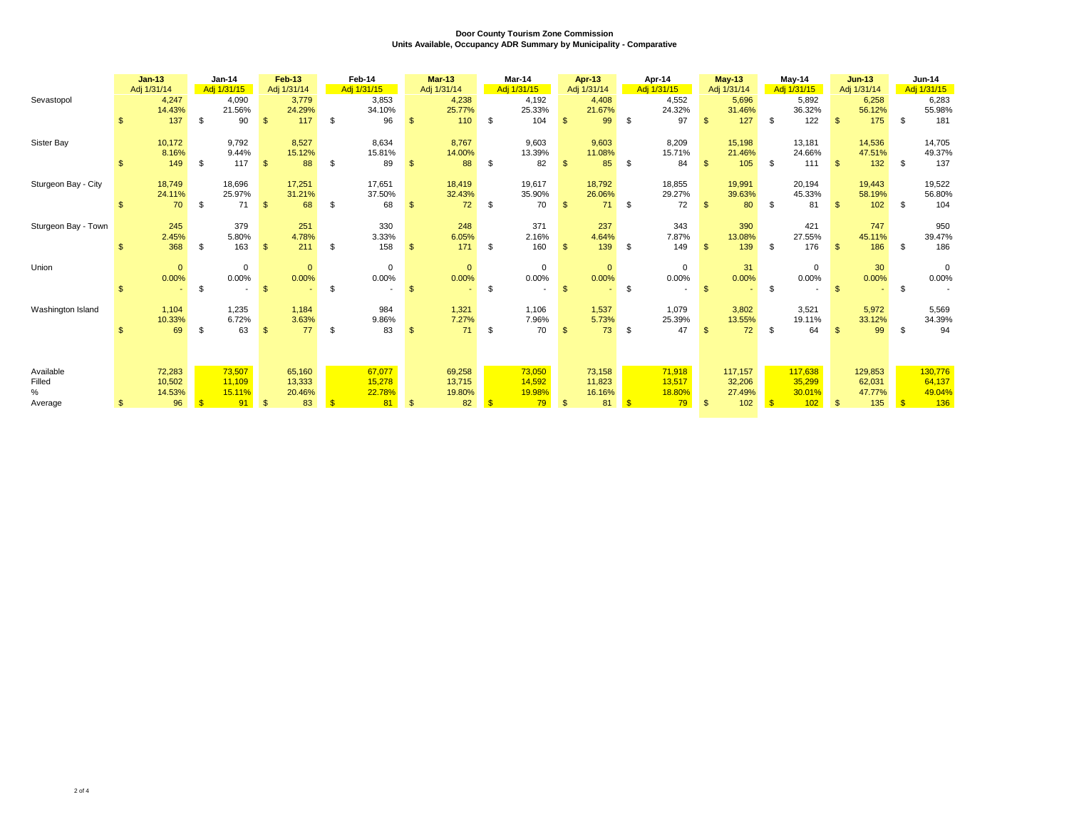|                        |                | $Jan-13$<br>Adj 1/31/14         |              | Jan-14<br>Adj 1/31/15  |                | <b>Feb-13</b><br>Adj 1/31/14 |     | Feb-14<br>Adj 1/31/15  |              | <b>Mar-13</b><br>Adj 1/31/14 |              | Mar-14<br>Adj 1/31/15  |                | Apr-13<br>Adj 1/31/14  |            | Apr-14<br>Adj 1/31/15  |               | <b>May-13</b><br>Adj 1/31/14 |              | $May-14$<br>Adj 1/31/15 |                | $Jun-13$<br>Adj 1/31/14 |              | Jun-14<br>Adj 1/31/15   |
|------------------------|----------------|---------------------------------|--------------|------------------------|----------------|------------------------------|-----|------------------------|--------------|------------------------------|--------------|------------------------|----------------|------------------------|------------|------------------------|---------------|------------------------------|--------------|-------------------------|----------------|-------------------------|--------------|-------------------------|
| Sevastopol             | \$             | 4,247<br>14.43%<br>137          | \$           | 4,090<br>21.56%<br>90  | $\mathbf{\$}$  | 3,779<br>24.29%<br>117       | \$  | 3,853<br>34.10%<br>96  | $\mathbf{s}$ | 4,238<br>25.77%<br>110       | \$           | 4,192<br>25.33%<br>104 | $\mathbb{S}$   | 4,408<br>21.67%<br>99  | \$         | 4,552<br>24.32%<br>97  | $\mathbf{s}$  | 5,696<br>31.46%<br>127       | \$           | 5,892<br>36.32%<br>122  | $\mathbf{s}$   | 6,258<br>56.12%<br>175  | \$           | 6,283<br>55.98%<br>181  |
| Sister Bay             | \$             | 10,172<br>8.16%<br>149          | \$           | 9,792<br>9.44%<br>117  | $\mathbf{\$}$  | 8,527<br>15.12%<br>88        | \$  | 8,634<br>15.81%<br>89  | \$           | 8,767<br>14.00%<br>88        | S.           | 9,603<br>13.39%<br>82  | $\mathbf{s}$   | 9,603<br>11.08%<br>85  | \$         | 8,209<br>15.71%<br>84  |               | 15,198<br>21.46%<br>105      |              | 13,181<br>24.66%<br>111 | $\mathbf{s}$   | 14,536<br>47.51%<br>132 | \$           | 14,705<br>49.37%<br>137 |
| Sturgeon Bay - City    | \$             | 18,749<br>24.11%<br>70          | \$           | 18,696<br>25.97%<br>71 | $\mathfrak{s}$ | 17,251<br>31.21%<br>68       | \$. | 17,651<br>37.50%<br>68 |              | 18,419<br>32.43%<br>72       | \$           | 19,617<br>35.90%<br>70 | $\mathbb{S}$   | 18,792<br>26.06%<br>71 | \$         | 18,855<br>29.27%<br>72 | $\mathbf{\$}$ | 19,991<br>39.63%<br>80       |              | 20,194<br>45.33%<br>81  | $\mathbf{\$}$  | 19,443<br>58.19%<br>102 | \$           | 19,522<br>56.80%<br>104 |
| Sturgeon Bay - Town    | $\mathfrak{L}$ | 245<br>2.45%<br>368             | \$           | 379<br>5.80%<br>163    | \$             | 251<br>4.78%<br>211          | \$  | 330<br>3.33%<br>158    | $\mathbf{s}$ | 248<br>6.05%<br>171          | \$           | 371<br>2.16%<br>160    | $\mathbb{S}$   | 237<br>4.64%<br>139    | \$         | 343<br>7.87%<br>149    | $\mathbf{\$}$ | 390<br>13.08%<br>139         | \$           | 421<br>27.55%<br>176    | $\mathbf{\$}$  | 747<br>45.11%<br>186    | \$           | 950<br>39.47%<br>186    |
| Union                  | \$             | $\mathbf{0}$<br>0.00%<br>$\sim$ | \$.          | $\mathbf 0$<br>0.00%   | $\mathbf{\$}$  | $\mathbf{0}$<br>0.00%        | \$  | $\mathbf 0$<br>0.00%   | $\mathbf{s}$ | $\mathbf{0}$<br>0.00%        | S.           | $\mathbf 0$<br>0.00%   | $\mathbf{s}$   | $\mathbf{0}$<br>0.00%  | \$         | $\mathbf 0$<br>0.00%   | $\mathcal{F}$ | 31<br>0.00%                  | \$.          | $\mathbf 0$<br>0.00%    | -\$            | 30<br>0.00%             | \$           | $\mathbf 0$<br>$0.00\%$ |
| Washington Island      | \$             | 1,104<br>10.33%<br>69           | \$           | 1,235<br>6.72%<br>63   | $\mathbf{\$}$  | 1,184<br>3.63%<br>77         | \$. | 984<br>9.86%<br>83     | £.           | 1,321<br>7.27%<br>71         | S.           | 1,106<br>7.96%<br>70   | $\mathbf{s}$   | 1,537<br>5.73%<br>73   | \$         | 1,079<br>25.39%<br>47  | - \$          | 3,802<br>13.55%<br>72        | \$.          | 3,521<br>19.11%<br>64   | $\mathcal{F}$  | 5,972<br>33.12%<br>99   | - \$         | 5,569<br>34.39%<br>94   |
| Available              |                | 72,283                          |              | 73,507                 |                | 65,160                       |     | 67,077                 |              | 69,258                       |              | 73,050                 |                | 73,158                 |            | 71,918                 |               | 117,157                      |              | 117,638                 |                | 129,853                 |              | 130,776                 |
| Filled<br>%<br>Average | $\mathfrak{L}$ | 10,502<br>14.53%<br>96          | $\mathbf{s}$ | 11,109<br>15.11%<br>91 | $\mathbf{\$}$  | 13,333<br>20.46%<br>83       |     | 15,278<br>22.78%<br>81 | \$           | 13,715<br>19.80%<br>82       | $\mathbf{s}$ | 14,592<br>19.98%<br>79 | $\mathfrak{S}$ | 11,823<br>16.16%<br>81 | $\sqrt{3}$ | 13,517<br>18.80%<br>79 | $\mathbf{s}$  | 32,206<br>27.49%<br>102      | $\mathbf{s}$ | 35,299<br>30.01%<br>102 | $\mathfrak{s}$ | 62,031<br>47.77%<br>135 | $\mathbf{S}$ | 64,137<br>49.04%<br>136 |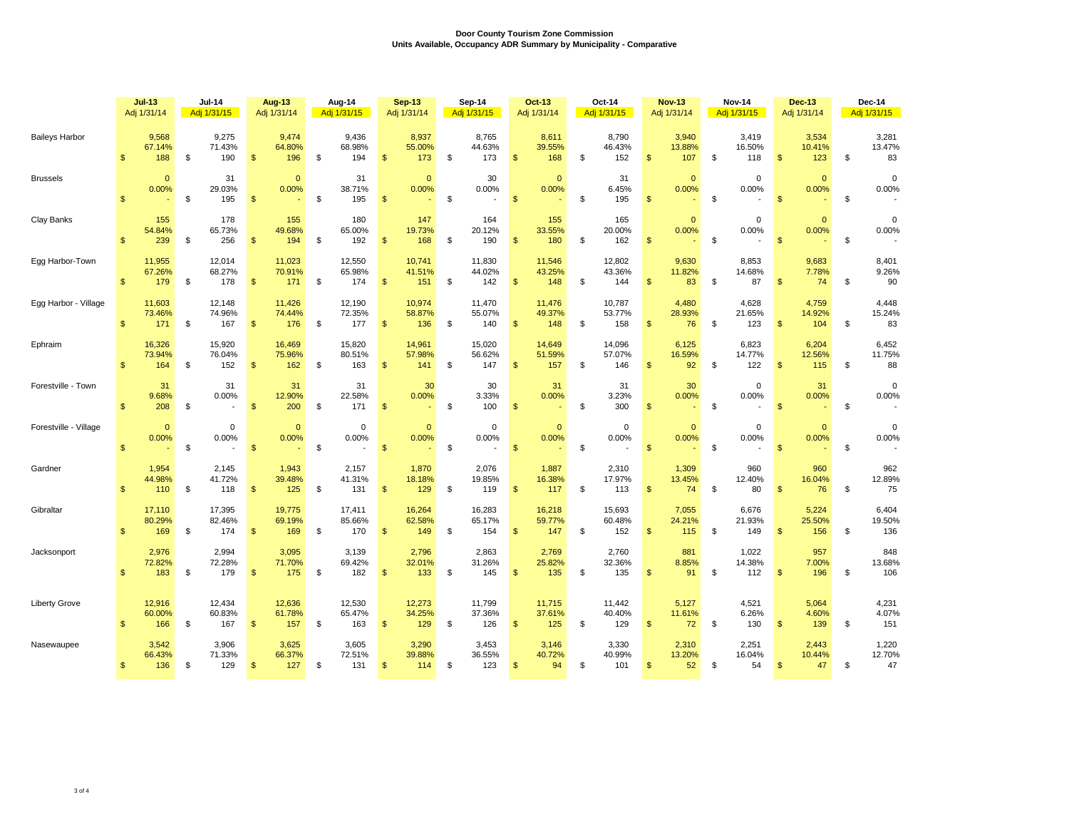|                       |                | $Jul-13$<br>Adj 1/31/14 |    | <b>Jul-14</b><br>Adj 1/31/15 |                         | <b>Aug-13</b><br>Adj 1/31/14 |    | Aug-14<br>Adj 1/31/15   |                | <b>Sep-13</b><br>Adj 1/31/14 |    | Sep-14<br>Adj 1/31/15   |                | Oct-13<br>Adj 1/31/14   | Oct-14<br>Adj 1/31/15 |                         |                | <b>Nov-13</b><br>Adj 1/31/14 | <b>Nov-14</b><br>Adj 1/31/15 |                        | <b>Dec-13</b><br>Adj 1/31/14 |                        | Dec-14<br>Adj 1/31/15 |                        |
|-----------------------|----------------|-------------------------|----|------------------------------|-------------------------|------------------------------|----|-------------------------|----------------|------------------------------|----|-------------------------|----------------|-------------------------|-----------------------|-------------------------|----------------|------------------------------|------------------------------|------------------------|------------------------------|------------------------|-----------------------|------------------------|
| <b>Baileys Harbor</b> | $\mathfrak{S}$ | 9,568<br>67.14%<br>188  | \$ | 9,275<br>71.43%<br>190       | $\mathsf{\$}$           | 9,474<br>64.80%<br>196       | \$ | 9,436<br>68.98%<br>194  | $\mathfrak{s}$ | 8,937<br>55.00%<br>173       | \$ | 8,765<br>44.63%<br>173  | \$             | 8,611<br>39.55%<br>168  | \$                    | 8,790<br>46.43%<br>152  | $\mathfrak{S}$ | 3,940<br>13.88%<br>107       | \$                           | 3,419<br>16.50%<br>118 | $\mathfrak{S}$               | 3,534<br>10.41%<br>123 | \$                    | 3,281<br>13.47%<br>83  |
| <b>Brussels</b>       | $\mathfrak{S}$ | $\mathbf{0}$<br>0.00%   | \$ | 31<br>29.03%<br>195          | $\mathsf{\$}$           | $\mathbf{0}$<br>0.00%        | \$ | 31<br>38.71%<br>195     | $\mathfrak{s}$ | $\mathbf{0}$<br>0.00%        | \$ | 30<br>0.00%             | \$             | $\mathbf{0}$<br>0.00%   | \$                    | 31<br>6.45%<br>195      | $\mathfrak{s}$ | $\mathbf{0}$<br>0.00%        | $\mathfrak{s}$               | 0<br>0.00%             | $\mathfrak{s}$               | $\mathbf{0}$<br>0.00%  | $\mathbb S$           | $\mathbf 0$<br>0.00%   |
| Clay Banks            | $\mathfrak{s}$ | 155<br>54.84%<br>239    | \$ | 178<br>65.73%<br>256         | $\mathsf{\$}$           | 155<br>49.68%<br>194         | \$ | 180<br>65.00%<br>192    | $\mathfrak{s}$ | 147<br>19.73%<br>168         | \$ | 164<br>20.12%<br>190    | $\sqrt{2}$     | 155<br>33.55%<br>180    | \$                    | 165<br>20.00%<br>162    | $\mathfrak{s}$ | $\mathbf{0}$<br>0.00%        | $\mathfrak s$                | 0<br>0.00%             | $\mathfrak{s}$               | $\Omega$<br>0.00%      | \$                    | $\mathbf 0$<br>0.00%   |
| Egg Harbor-Town       | $\frac{1}{2}$  | 11,955<br>67.26%<br>179 | \$ | 12,014<br>68.27%<br>178      | $\sqrt[6]{\frac{1}{2}}$ | 11,023<br>70.91%<br>171      | \$ | 12,550<br>65.98%<br>174 | $\mathfrak{s}$ | 10,741<br>41.51%<br>151      | \$ | 11,830<br>44.02%<br>142 | $\frac{1}{2}$  | 11,546<br>43.25%<br>148 | \$                    | 12,802<br>43.36%<br>144 | \$             | 9,630<br>11.82%<br>83        | \$                           | 8,853<br>14.68%<br>87  | $\frac{1}{2}$                | 9,683<br>7.78%<br>74   | \$                    | 8,401<br>9.26%<br>90   |
| Egg Harbor - Village  | $\mathfrak{s}$ | 11,603<br>73.46%<br>171 | \$ | 12,148<br>74.96%<br>167      | $\mathsf{\$}$           | 11,426<br>74.44%<br>176      | \$ | 12,190<br>72.35%<br>177 | $\mathfrak{s}$ | 10,974<br>58.87%<br>136      | \$ | 11,470<br>55.07%<br>140 | $\mathfrak{s}$ | 11,476<br>49.37%<br>148 | \$                    | 10,787<br>53.77%<br>158 | $\mathfrak{s}$ | 4,480<br>28.93%<br>76        | \$                           | 4,628<br>21.65%<br>123 | $\mathsf{\$}$                | 4,759<br>14.92%<br>104 | \$                    | 4,448<br>15.24%<br>83  |
| Ephraim               | $\mathfrak{S}$ | 16,326<br>73.94%<br>164 | \$ | 15,920<br>76.04%<br>152      | $\mathsf{\$}$           | 16,469<br>75.96%<br>162      | \$ | 15,820<br>80.51%<br>163 | $\mathbf{s}$   | 14,961<br>57.98%<br>141      | \$ | 15,020<br>56.62%<br>147 | $\mathbf{\$}$  | 14,649<br>51.59%<br>157 | \$                    | 14,096<br>57.07%<br>146 | $\mathfrak{s}$ | 6,125<br>16.59%<br>92        | \$                           | 6,823<br>14.77%<br>122 | $\mathfrak{s}$               | 6,204<br>12.56%<br>115 | \$                    | 6,452<br>11.75%<br>88  |
| Forestville - Town    | $\mathfrak{s}$ | 31<br>9.68%<br>208      | \$ | 31<br>0.00%                  | $\mathfrak{s}$          | 31<br>12.90%<br>200          | \$ | 31<br>22.58%<br>171     | $\mathfrak{S}$ | 30<br>0.00%                  | \$ | 30<br>3.33%<br>100      | \$             | 31<br>0.00%             | \$                    | 31<br>3.23%<br>300      | $\mathfrak{L}$ | 30<br>0.00%                  | \$                           | 0<br>0.00%             | $\mathfrak{s}$               | 31<br>0.00%            | \$                    | $\Omega$<br>0.00%      |
| Forestville - Village | $\mathfrak{s}$ | $\mathbf{0}$<br>0.00%   | \$ | 0<br>0.00%                   | $\mathsf{\$}$           | $\mathbf{0}$<br>0.00%        | \$ | $\mathbf 0$<br>0.00%    | $\mathfrak{s}$ | $\mathbf{0}$<br>0.00%        | \$ | $\mathbf 0$<br>0.00%    | $\mathfrak{s}$ | $\mathbf{0}$<br>0.00%   | \$                    | $\mathbf 0$<br>0.00%    | $\mathbf{\$}$  | $\mathbf{0}$<br>0.00%        | \$                           | 0<br>0.00%             | $\mathfrak{s}$               | $\mathbf{0}$<br>0.00%  | \$                    | $\mathbf 0$<br>0.00%   |
| Gardner               | $\mathbf{s}$   | 1,954<br>44.98%<br>110  | \$ | 2,145<br>41.72%<br>118       | $\mathsf{\$}$           | 1,943<br>39.48%<br>125       | \$ | 2,157<br>41.31%<br>131  | $\mathbf{s}$   | 1,870<br>18.18%<br>129       | \$ | 2,076<br>19.85%<br>119  | \$             | 1,887<br>16.38%<br>117  | \$                    | 2,310<br>17.97%<br>113  | $\mathfrak{s}$ | 1,309<br>13.45%<br>74        | \$                           | 960<br>12.40%<br>80    | $\mathfrak{s}$               | 960<br>16.04%<br>76    | \$                    | 962<br>12.89%<br>75    |
| Gibraltar             | $\mathfrak{S}$ | 17.110<br>80.29%<br>169 | \$ | 17,395<br>82.46%<br>174      | $\mathsf{\$}$           | 19,775<br>69.19%<br>169      | \$ | 17.411<br>85.66%<br>170 | $\mathfrak{s}$ | 16,264<br>62.58%<br>149      | \$ | 16,283<br>65.17%<br>154 | $\mathfrak{s}$ | 16,218<br>59.77%<br>147 | \$                    | 15,693<br>60.48%<br>152 | $\mathfrak{s}$ | 7,055<br>24.21%<br>115       | \$                           | 6,676<br>21.93%<br>149 | $\mathfrak{s}$               | 5,224<br>25.50%<br>156 | \$                    | 6,404<br>19.50%<br>136 |
| Jacksonport           | $\mathfrak{S}$ | 2,976<br>72.82%<br>183  | \$ | 2,994<br>72.28%<br>179       | $\mathfrak{s}$          | 3,095<br>71.70%<br>175       | \$ | 3,139<br>69.42%<br>182  | \$             | 2,796<br>32.01%<br>133       | \$ | 2,863<br>31.26%<br>145  | $\mathbf{\$}$  | 2,769<br>25.82%<br>135  | \$                    | 2,760<br>32.36%<br>135  | \$             | 881<br>8.85%<br>91           | \$                           | 1,022<br>14.38%<br>112 | $\mathfrak{s}$               | 957<br>7.00%<br>196    | \$                    | 848<br>13.68%<br>106   |
| <b>Liberty Grove</b>  | $\mathfrak{s}$ | 12,916<br>60.00%<br>166 | \$ | 12,434<br>60.83%<br>167      | $\mathfrak{s}$          | 12,636<br>61.78%<br>157      | \$ | 12,530<br>65.47%<br>163 | $\mathbf{s}$   | 12,273<br>34.25%<br>129      | \$ | 11,799<br>37.36%<br>126 | $\mathfrak{s}$ | 11,715<br>37.61%<br>125 | \$                    | 11,442<br>40.40%<br>129 | $\mathfrak{S}$ | 5,127<br>11.61%<br>72        | \$                           | 4,521<br>6.26%<br>130  | $\mathfrak{s}$               | 5,064<br>4.60%<br>139  | \$                    | 4,231<br>4.07%<br>151  |
| Nasewaupee            | $\mathfrak{s}$ | 3,542<br>66.43%<br>136  | \$ | 3,906<br>71.33%<br>129       | $\mathfrak{s}$          | 3,625<br>66.37%<br>127       | \$ | 3,605<br>72.51%<br>131  | $\mathfrak{s}$ | 3,290<br>39.88%<br>114       | \$ | 3,453<br>36.55%<br>123  | $\mathbf{\$}$  | 3,146<br>40.72%<br>94   | \$                    | 3,330<br>40.99%<br>101  | \$             | 2,310<br>13.20%<br>52        | \$                           | 2,251<br>16.04%<br>54  | $\mathfrak{s}$               | 2,443<br>10.44%<br>47  | \$                    | 1,220<br>12.70%<br>47  |